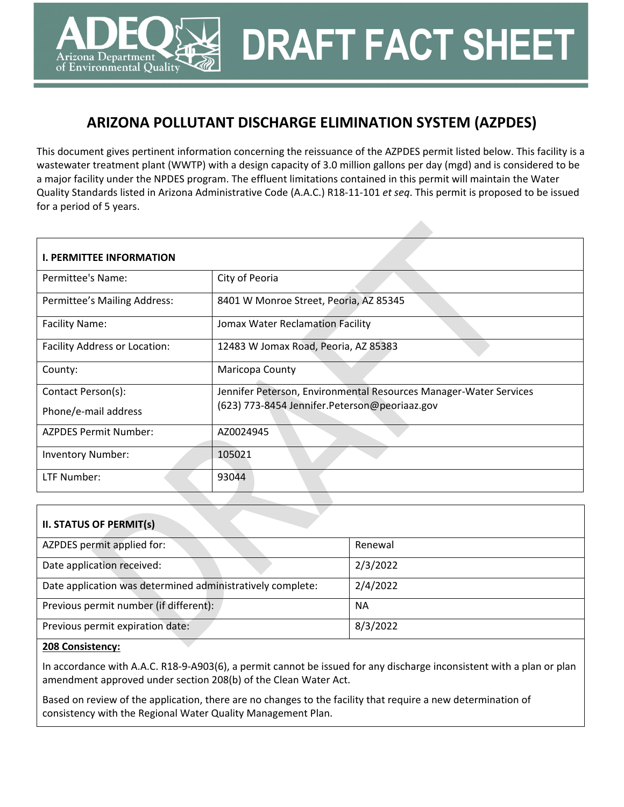# **ARIZONA POLLUTANT DISCHARGE ELIMINATION SYSTEM (AZPDES)**

**DRAFT FACT SHEET**

This document gives pertinent information concerning the reissuance of the AZPDES permit listed below. This facility is a wastewater treatment plant (WWTP) with a design capacity of 3.0 million gallons per day (mgd) and is considered to be a major facility under the NPDES program. The effluent limitations contained in this permit will maintain the Water Quality Standards listed in Arizona Administrative Code (A.A.C.) R18-11-101 *et seq*. This permit is proposed to be issued for a period of 5 years.

| <b>I. PERMITTEE INFORMATION</b> |                                                                   |
|---------------------------------|-------------------------------------------------------------------|
| Permittee's Name:               | City of Peoria                                                    |
| Permittee's Mailing Address:    | 8401 W Monroe Street, Peoria, AZ 85345                            |
| <b>Facility Name:</b>           | Jomax Water Reclamation Facility                                  |
| Facility Address or Location:   | 12483 W Jomax Road, Peoria, AZ 85383                              |
| County:                         | Maricopa County                                                   |
| Contact Person(s):              | Jennifer Peterson, Environmental Resources Manager-Water Services |
| Phone/e-mail address            | (623) 773-8454 Jennifer.Peterson@peoriaaz.gov                     |
| <b>AZPDES Permit Number:</b>    | AZ0024945                                                         |
| <b>Inventory Number:</b>        | 105021                                                            |
| LTF Number:                     | 93044                                                             |

| <b>II. STATUS OF PERMIT(s)</b>                             |          |
|------------------------------------------------------------|----------|
| AZPDES permit applied for:                                 | Renewal  |
| Date application received:                                 | 2/3/2022 |
| Date application was determined administratively complete: | 2/4/2022 |
| Previous permit number (if different):                     | NA.      |
| Previous permit expiration date:                           | 8/3/2022 |

#### **208 Consistency:**

rizona Department of Environmental Quality

In accordance with A.A.C. R18-9-A903(6), a permit cannot be issued for any discharge inconsistent with a plan or plan amendment approved under section 208(b) of the Clean Water Act.

Based on review of the application, there are no changes to the facility that require a new determination of consistency with the Regional Water Quality Management Plan.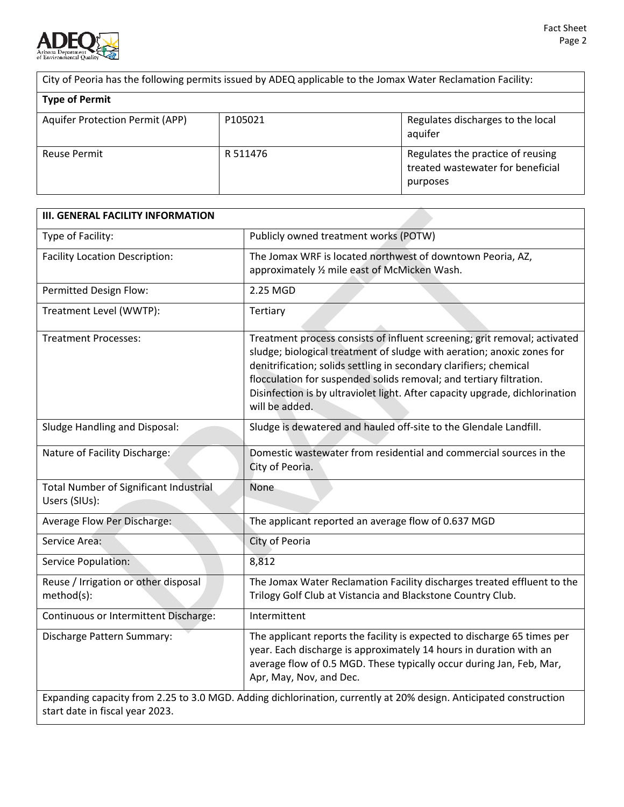

City of Peoria has the following permits issued by ADEQ applicable to the Jomax Water Reclamation Facility:

| <b>Type of Permit</b>           |          |                                                                                    |
|---------------------------------|----------|------------------------------------------------------------------------------------|
| Aquifer Protection Permit (APP) | P105021  | Regulates discharges to the local<br>aquifer                                       |
| <b>Reuse Permit</b>             | R 511476 | Regulates the practice of reusing<br>treated wastewater for beneficial<br>purposes |

| <b>III. GENERAL FACILITY INFORMATION</b>                       |                                                                                                                                                                                                                                                                                                                                                                                                    |
|----------------------------------------------------------------|----------------------------------------------------------------------------------------------------------------------------------------------------------------------------------------------------------------------------------------------------------------------------------------------------------------------------------------------------------------------------------------------------|
| Type of Facility:                                              | Publicly owned treatment works (POTW)                                                                                                                                                                                                                                                                                                                                                              |
| <b>Facility Location Description:</b>                          | The Jomax WRF is located northwest of downtown Peoria, AZ,<br>approximately 1/2 mile east of McMicken Wash.                                                                                                                                                                                                                                                                                        |
| Permitted Design Flow:                                         | 2.25 MGD                                                                                                                                                                                                                                                                                                                                                                                           |
| Treatment Level (WWTP):                                        | Tertiary                                                                                                                                                                                                                                                                                                                                                                                           |
| <b>Treatment Processes:</b>                                    | Treatment process consists of influent screening; grit removal; activated<br>sludge; biological treatment of sludge with aeration; anoxic zones for<br>denitrification; solids settling in secondary clarifiers; chemical<br>flocculation for suspended solids removal; and tertiary filtration.<br>Disinfection is by ultraviolet light. After capacity upgrade, dichlorination<br>will be added. |
| <b>Sludge Handling and Disposal:</b>                           | Sludge is dewatered and hauled off-site to the Glendale Landfill.                                                                                                                                                                                                                                                                                                                                  |
| Nature of Facility Discharge:                                  | Domestic wastewater from residential and commercial sources in the<br>City of Peoria.                                                                                                                                                                                                                                                                                                              |
| <b>Total Number of Significant Industrial</b><br>Users (SIUs): | None                                                                                                                                                                                                                                                                                                                                                                                               |
| Average Flow Per Discharge:                                    | The applicant reported an average flow of 0.637 MGD                                                                                                                                                                                                                                                                                                                                                |
| Service Area:                                                  | City of Peoria                                                                                                                                                                                                                                                                                                                                                                                     |
| Service Population:                                            | 8,812                                                                                                                                                                                                                                                                                                                                                                                              |
| Reuse / Irrigation or other disposal<br>method(s):             | The Jomax Water Reclamation Facility discharges treated effluent to the<br>Trilogy Golf Club at Vistancia and Blackstone Country Club.                                                                                                                                                                                                                                                             |
| Continuous or Intermittent Discharge:                          | Intermittent                                                                                                                                                                                                                                                                                                                                                                                       |
| Discharge Pattern Summary:                                     | The applicant reports the facility is expected to discharge 65 times per<br>year. Each discharge is approximately 14 hours in duration with an<br>average flow of 0.5 MGD. These typically occur during Jan, Feb, Mar,<br>Apr, May, Nov, and Dec.                                                                                                                                                  |
| start date in fiscal year 2023.                                | Expanding capacity from 2.25 to 3.0 MGD. Adding dichlorination, currently at 20% design. Anticipated construction                                                                                                                                                                                                                                                                                  |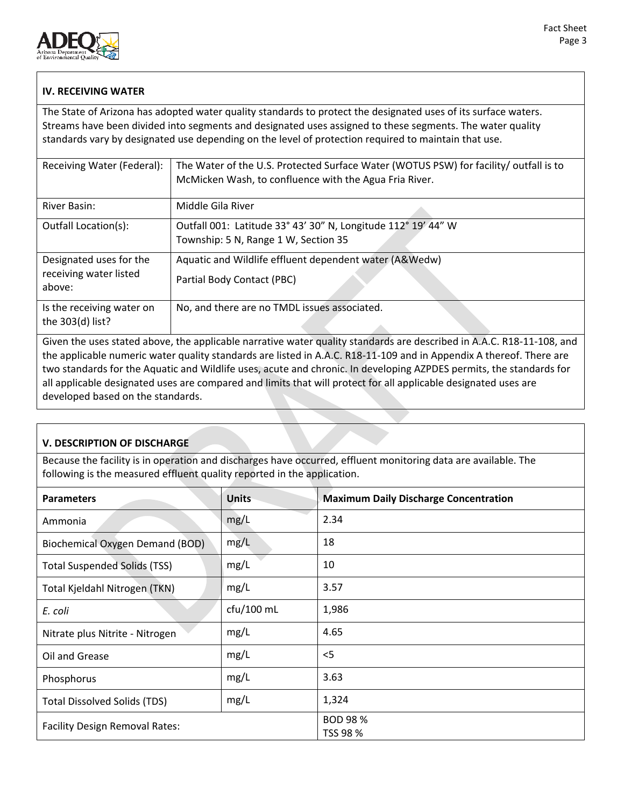

# **IV. RECEIVING WATER**

The State of Arizona has adopted water quality standards to protect the designated uses of its surface waters. Streams have been divided into segments and designated uses assigned to these segments. The water quality standards vary by designated use depending on the level of protection required to maintain that use.

| Receiving Water (Federal):                                  | The Water of the U.S. Protected Surface Water (WOTUS PSW) for facility/ outfall is to<br>McMicken Wash, to confluence with the Agua Fria River. |
|-------------------------------------------------------------|-------------------------------------------------------------------------------------------------------------------------------------------------|
| River Basin:                                                | Middle Gila River                                                                                                                               |
| Outfall Location(s):                                        | Outfall 001: Latitude 33° 43' 30" N, Longitude 112° 19' 44" W<br>Township: 5 N, Range 1 W, Section 35                                           |
| Designated uses for the<br>receiving water listed<br>above: | Aquatic and Wildlife effluent dependent water (A&Wedw)<br>Partial Body Contact (PBC)                                                            |
| Is the receiving water on<br>the 303(d) list?               | No, and there are no TMDL issues associated.                                                                                                    |

Given the uses stated above, the applicable narrative water quality standards are described in A.A.C. R18-11-108, and the applicable numeric water quality standards are listed in A.A.C. R18-11-109 and in Appendix A thereof. There are two standards for the Aquatic and Wildlife uses, acute and chronic. In developing AZPDES permits, the standards for all applicable designated uses are compared and limits that will protect for all applicable designated uses are developed based on the standards.

# **V. DESCRIPTION OF DISCHARGE**

Because the facility is in operation and discharges have occurred, effluent monitoring data are available. The following is the measured effluent quality reported in the application.

| <b>Parameters</b>                      | <b>Units</b> | <b>Maximum Daily Discharge Concentration</b> |
|----------------------------------------|--------------|----------------------------------------------|
| Ammonia                                | mg/L         | 2.34                                         |
| <b>Biochemical Oxygen Demand (BOD)</b> | mg/L         | 18                                           |
| <b>Total Suspended Solids (TSS)</b>    | mg/L         | 10                                           |
| Total Kjeldahl Nitrogen (TKN)          | mg/L         | 3.57                                         |
| E. coli                                | cfu/100 mL   | 1,986                                        |
| Nitrate plus Nitrite - Nitrogen        | mg/L         | 4.65                                         |
| Oil and Grease                         | mg/L         | $<$ 5                                        |
| Phosphorus                             | mg/L         | 3.63                                         |
| <b>Total Dissolved Solids (TDS)</b>    | mg/L         | 1,324                                        |
| <b>Facility Design Removal Rates:</b>  |              | <b>BOD 98 %</b><br>TSS 98 %                  |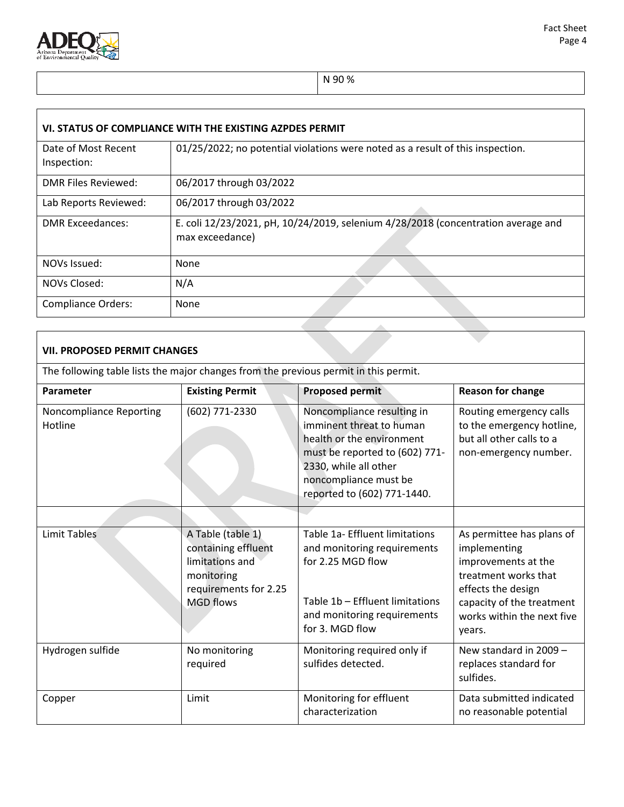

N 90 %

| VI. STATUS OF COMPLIANCE WITH THE EXISTING AZPDES PERMIT |                                                                                                      |  |  |  |  |  |
|----------------------------------------------------------|------------------------------------------------------------------------------------------------------|--|--|--|--|--|
| Date of Most Recent<br>Inspection:                       | 01/25/2022; no potential violations were noted as a result of this inspection.                       |  |  |  |  |  |
| DMR Files Reviewed:                                      | 06/2017 through 03/2022                                                                              |  |  |  |  |  |
| Lab Reports Reviewed:                                    | 06/2017 through 03/2022                                                                              |  |  |  |  |  |
| <b>DMR Exceedances:</b>                                  | E. coli 12/23/2021, pH, 10/24/2019, selenium 4/28/2018 (concentration average and<br>max exceedance) |  |  |  |  |  |
| NOVs Issued:                                             | None                                                                                                 |  |  |  |  |  |
| NOVs Closed:                                             | N/A                                                                                                  |  |  |  |  |  |
| <b>Compliance Orders:</b>                                | None                                                                                                 |  |  |  |  |  |

# **VII. PROPOSED PERMIT CHANGES**

The following table lists the major changes from the previous permit in this permit.

| Parameter                          | <b>Existing Permit</b>                                                                                                 | <b>Proposed permit</b>                                                                                                                                                                                 | <b>Reason for change</b>                                                                                                                                                            |
|------------------------------------|------------------------------------------------------------------------------------------------------------------------|--------------------------------------------------------------------------------------------------------------------------------------------------------------------------------------------------------|-------------------------------------------------------------------------------------------------------------------------------------------------------------------------------------|
| Noncompliance Reporting<br>Hotline | (602) 771-2330                                                                                                         | Noncompliance resulting in<br>imminent threat to human<br>health or the environment<br>must be reported to (602) 771-<br>2330, while all other<br>noncompliance must be<br>reported to (602) 771-1440. | Routing emergency calls<br>to the emergency hotline,<br>but all other calls to a<br>non-emergency number.                                                                           |
|                                    |                                                                                                                        |                                                                                                                                                                                                        |                                                                                                                                                                                     |
| <b>Limit Tables</b>                | A Table (table 1)<br>containing effluent<br>limitations and<br>monitoring<br>requirements for 2.25<br><b>MGD flows</b> | Table 1a- Effluent limitations<br>and monitoring requirements<br>for 2.25 MGD flow<br>Table 1b - Effluent limitations<br>and monitoring requirements<br>for 3. MGD flow                                | As permittee has plans of<br>implementing<br>improvements at the<br>treatment works that<br>effects the design<br>capacity of the treatment<br>works within the next five<br>years. |
| Hydrogen sulfide                   | No monitoring<br>required                                                                                              | Monitoring required only if<br>sulfides detected.                                                                                                                                                      | New standard in 2009 -<br>replaces standard for<br>sulfides.                                                                                                                        |
| Copper                             | Limit                                                                                                                  | Monitoring for effluent<br>characterization                                                                                                                                                            | Data submitted indicated<br>no reasonable potential                                                                                                                                 |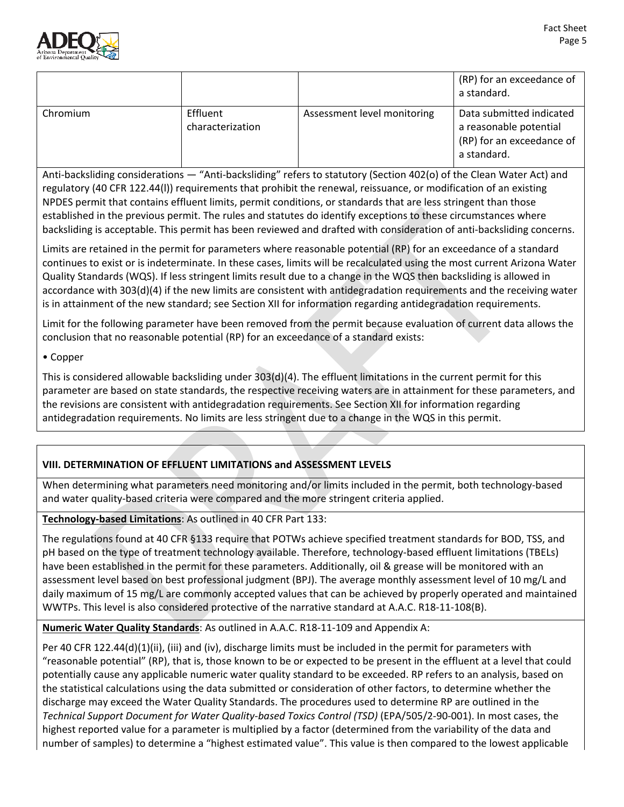

|          |                              |                             | (RP) for an exceedance of<br>a standard.                                                       |
|----------|------------------------------|-----------------------------|------------------------------------------------------------------------------------------------|
| Chromium | Effluent<br>characterization | Assessment level monitoring | Data submitted indicated<br>a reasonable potential<br>(RP) for an exceedance of<br>a standard. |

Anti-backsliding considerations — "Anti-backsliding" refers to statutory (Section 402(o) of the Clean Water Act) and regulatory (40 CFR 122.44(l)) requirements that prohibit the renewal, reissuance, or modification of an existing NPDES permit that contains effluent limits, permit conditions, or standards that are less stringent than those established in the previous permit. The rules and statutes do identify exceptions to these circumstances where backsliding is acceptable. This permit has been reviewed and drafted with consideration of anti-backsliding concerns.

Limits are retained in the permit for parameters where reasonable potential (RP) for an exceedance of a standard continues to exist or is indeterminate. In these cases, limits will be recalculated using the most current Arizona Water Quality Standards (WQS). If less stringent limits result due to a change in the WQS then backsliding is allowed in accordance with 303(d)(4) if the new limits are consistent with antidegradation requirements and the receiving water is in attainment of the new standard; see Section XII for information regarding antidegradation requirements.

Limit for the following parameter have been removed from the permit because evaluation of current data allows the conclusion that no reasonable potential (RP) for an exceedance of a standard exists:

## • Copper

This is considered allowable backsliding under 303(d)(4). The effluent limitations in the current permit for this parameter are based on state standards, the respective receiving waters are in attainment for these parameters, and the revisions are consistent with antidegradation requirements. See Section XII for information regarding antidegradation requirements. No limits are less stringent due to a change in the WQS in this permit.

# **VIII. DETERMINATION OF EFFLUENT LIMITATIONS and ASSESSMENT LEVELS**

When determining what parameters need monitoring and/or limits included in the permit, both technology-based and water quality-based criteria were compared and the more stringent criteria applied.

# **Technology-based Limitations**: As outlined in 40 CFR Part 133:

The regulations found at 40 CFR §133 require that POTWs achieve specified treatment standards for BOD, TSS, and pH based on the type of treatment technology available. Therefore, technology-based effluent limitations (TBELs) have been established in the permit for these parameters. Additionally, oil & grease will be monitored with an assessment level based on best professional judgment (BPJ). The average monthly assessment level of 10 mg/L and daily maximum of 15 mg/L are commonly accepted values that can be achieved by properly operated and maintained WWTPs. This level is also considered protective of the narrative standard at A.A.C. R18-11-108(B).

**Numeric Water Quality Standards**: As outlined in A.A.C. R18-11-109 and Appendix A:

Per 40 CFR 122.44(d)(1)(ii), (iii) and (iv), discharge limits must be included in the permit for parameters with "reasonable potential" (RP), that is, those known to be or expected to be present in the effluent at a level that could potentially cause any applicable numeric water quality standard to be exceeded. RP refers to an analysis, based on the statistical calculations using the data submitted or consideration of other factors, to determine whether the discharge may exceed the Water Quality Standards. The procedures used to determine RP are outlined in the *Technical Support Document for Water Quality-based Toxics Control (TSD)* (EPA/505/2-90-001). In most cases, the highest reported value for a parameter is multiplied by a factor (determined from the variability of the data and number of samples) to determine a "highest estimated value". This value is then compared to the lowest applicable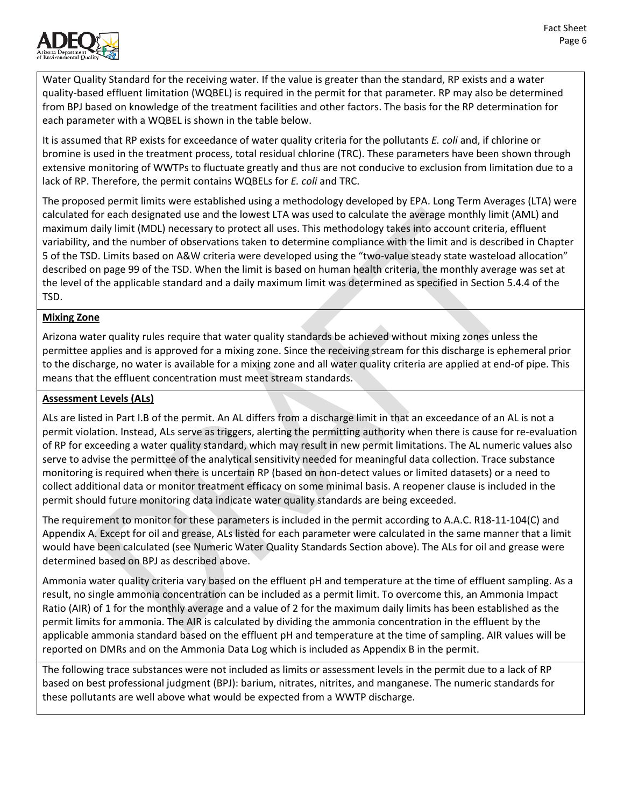

Water Quality Standard for the receiving water. If the value is greater than the standard, RP exists and a water quality-based effluent limitation (WQBEL) is required in the permit for that parameter. RP may also be determined from BPJ based on knowledge of the treatment facilities and other factors. The basis for the RP determination for each parameter with a WQBEL is shown in the table below.

It is assumed that RP exists for exceedance of water quality criteria for the pollutants *E. coli* and, if chlorine or bromine is used in the treatment process, total residual chlorine (TRC). These parameters have been shown through extensive monitoring of WWTPs to fluctuate greatly and thus are not conducive to exclusion from limitation due to a lack of RP. Therefore, the permit contains WQBELs for *E. coli* and TRC.

The proposed permit limits were established using a methodology developed by EPA. Long Term Averages (LTA) were calculated for each designated use and the lowest LTA was used to calculate the average monthly limit (AML) and maximum daily limit (MDL) necessary to protect all uses. This methodology takes into account criteria, effluent variability, and the number of observations taken to determine compliance with the limit and is described in Chapter 5 of the TSD. Limits based on A&W criteria were developed using the "two-value steady state wasteload allocation" described on page 99 of the TSD. When the limit is based on human health criteria, the monthly average was set at the level of the applicable standard and a daily maximum limit was determined as specified in Section 5.4.4 of the TSD.

## **Mixing Zone**

Arizona water quality rules require that water quality standards be achieved without mixing zones unless the permittee applies and is approved for a mixing zone. Since the receiving stream for this discharge is ephemeral prior to the discharge, no water is available for a mixing zone and all water quality criteria are applied at end-of pipe. This means that the effluent concentration must meet stream standards.

## **Assessment Levels (ALs)**

ALs are listed in Part I.B of the permit. An AL differs from a discharge limit in that an exceedance of an AL is not a permit violation. Instead, ALs serve as triggers, alerting the permitting authority when there is cause for re-evaluation of RP for exceeding a water quality standard, which may result in new permit limitations. The AL numeric values also serve to advise the permittee of the analytical sensitivity needed for meaningful data collection. Trace substance monitoring is required when there is uncertain RP (based on non-detect values or limited datasets) or a need to collect additional data or monitor treatment efficacy on some minimal basis. A reopener clause is included in the permit should future monitoring data indicate water quality standards are being exceeded.

The requirement to monitor for these parameters is included in the permit according to A.A.C. R18-11-104(C) and Appendix A. Except for oil and grease, ALs listed for each parameter were calculated in the same manner that a limit would have been calculated (see Numeric Water Quality Standards Section above). The ALs for oil and grease were determined based on BPJ as described above.

Ammonia water quality criteria vary based on the effluent pH and temperature at the time of effluent sampling. As a result, no single ammonia concentration can be included as a permit limit. To overcome this, an Ammonia Impact Ratio (AIR) of 1 for the monthly average and a value of 2 for the maximum daily limits has been established as the permit limits for ammonia. The AIR is calculated by dividing the ammonia concentration in the effluent by the applicable ammonia standard based on the effluent pH and temperature at the time of sampling. AIR values will be reported on DMRs and on the Ammonia Data Log which is included as Appendix B in the permit.

The following trace substances were not included as limits or assessment levels in the permit due to a lack of RP based on best professional judgment (BPJ): barium, nitrates, nitrites, and manganese. The numeric standards for these pollutants are well above what would be expected from a WWTP discharge.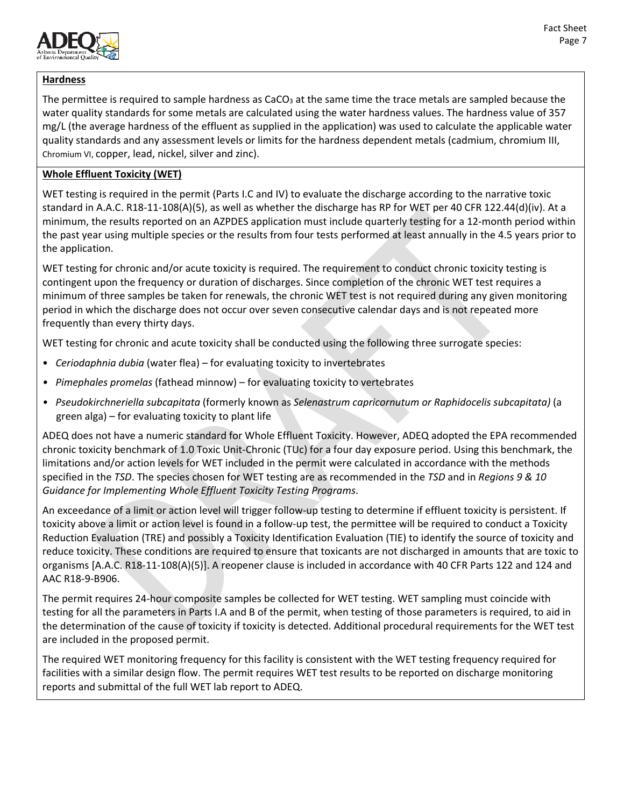

# **Hardness**

The permittee is required to sample hardness as  $CaCO<sub>3</sub>$  at the same time the trace metals are sampled because the water quality standards for some metals are calculated using the water hardness values. The hardness value of 357 mg/L (the average hardness of the effluent as supplied in the application) was used to calculate the applicable water quality standards and any assessment levels or limits for the hardness dependent metals (cadmium, chromium III, Chromium VI, copper, lead, nickel, silver and zinc).

# **Whole Effluent Toxicity (WET)**

WET testing is required in the permit (Parts I.C and IV) to evaluate the discharge according to the narrative toxic standard in A.A.C. R18-11-108(A)(5), as well as whether the discharge has RP for WET per 40 CFR 122.44(d)(iv). At a minimum, the results reported on an AZPDES application must include quarterly testing for a 12-month period within the past year using multiple species or the results from four tests performed at least annually in the 4.5 years prior to the application.

WET testing for chronic and/or acute toxicity is required. The requirement to conduct chronic toxicity testing is contingent upon the frequency or duration of discharges. Since completion of the chronic WET test requires a minimum of three samples be taken for renewals, the chronic WET test is not required during any given monitoring period in which the discharge does not occur over seven consecutive calendar days and is not repeated more frequently than every thirty days.

WET testing for chronic and acute toxicity shall be conducted using the following three surrogate species:

- *Ceriodaphnia dubia* (water flea) for evaluating toxicity to invertebrates
- *Pimephales promelas* (fathead minnow) for evaluating toxicity to vertebrates
- *Pseudokirchneriella subcapitata* (formerly known as *Selenastrum capricornutum or Raphidocelis subcapitata)* (a green alga) – for evaluating toxicity to plant life

ADEQ does not have a numeric standard for Whole Effluent Toxicity. However, ADEQ adopted the EPA recommended chronic toxicity benchmark of 1.0 Toxic Unit-Chronic (TUc) for a four day exposure period. Using this benchmark, the limitations and/or action levels for WET included in the permit were calculated in accordance with the methods specified in the *TSD*. The species chosen for WET testing are as recommended in the *TSD* and in *Regions 9 & 10 Guidance for Implementing Whole Effluent Toxicity Testing Programs*.

An exceedance of a limit or action level will trigger follow-up testing to determine if effluent toxicity is persistent. If toxicity above a limit or action level is found in a follow-up test, the permittee will be required to conduct a Toxicity Reduction Evaluation (TRE) and possibly a Toxicity Identification Evaluation (TIE) to identify the source of toxicity and reduce toxicity. These conditions are required to ensure that toxicants are not discharged in amounts that are toxic to organisms [A.A.C. R18-11-108(A)(5)]. A reopener clause is included in accordance with 40 CFR Parts 122 and 124 and AAC R18-9-B906.

The permit requires 24-hour composite samples be collected for WET testing. WET sampling must coincide with testing for all the parameters in Parts I.A and B of the permit, when testing of those parameters is required, to aid in the determination of the cause of toxicity if toxicity is detected. Additional procedural requirements for the WET test are included in the proposed permit.

The required WET monitoring frequency for this facility is consistent with the WET testing frequency required for facilities with a similar design flow. The permit requires WET test results to be reported on discharge monitoring reports and submittal of the full WET lab report to ADEQ.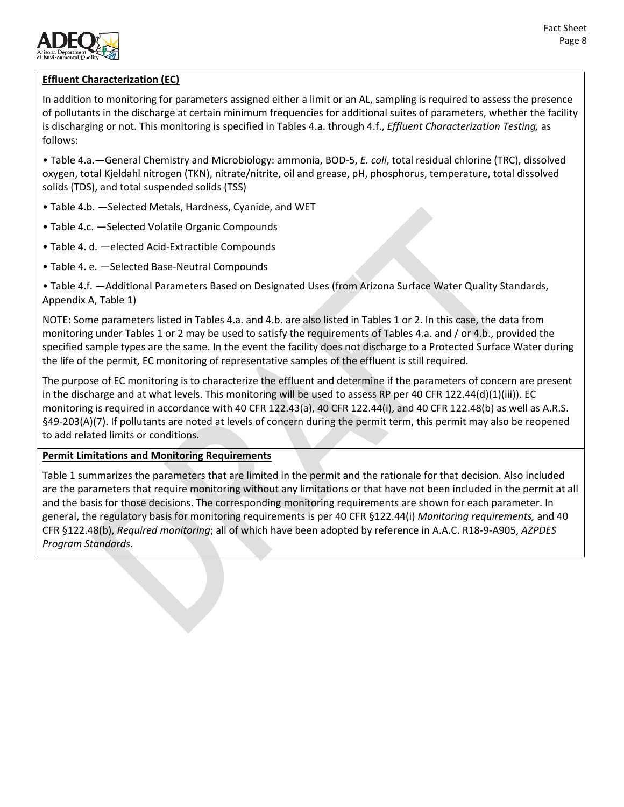

# **Effluent Characterization (EC)**

In addition to monitoring for parameters assigned either a limit or an AL, sampling is required to assess the presence of pollutants in the discharge at certain minimum frequencies for additional suites of parameters, whether the facility is discharging or not. This monitoring is specified in Tables 4.a. through 4.f., *Effluent Characterization Testing,* as follows:

• Table 4.a.—General Chemistry and Microbiology: ammonia, BOD-5, *E. coli*, total residual chlorine (TRC), dissolved oxygen, total Kjeldahl nitrogen (TKN), nitrate/nitrite, oil and grease, pH, phosphorus, temperature, total dissolved solids (TDS), and total suspended solids (TSS)

- Table 4.b. —Selected Metals, Hardness, Cyanide, and WET
- Table 4.c. —Selected Volatile Organic Compounds
- Table 4. d. —elected Acid-Extractible Compounds
- Table 4. e. —Selected Base-Neutral Compounds

• Table 4.f. —Additional Parameters Based on Designated Uses (from Arizona Surface Water Quality Standards, Appendix A, Table 1)

NOTE: Some parameters listed in Tables 4.a. and 4.b. are also listed in Tables 1 or 2. In this case, the data from monitoring under Tables 1 or 2 may be used to satisfy the requirements of Tables 4.a. and / or 4.b., provided the specified sample types are the same. In the event the facility does not discharge to a Protected Surface Water during the life of the permit, EC monitoring of representative samples of the effluent is still required.

The purpose of EC monitoring is to characterize the effluent and determine if the parameters of concern are present in the discharge and at what levels. This monitoring will be used to assess RP per 40 CFR 122.44(d)(1)(iii)). EC monitoring is required in accordance with 40 CFR 122.43(a), 40 CFR 122.44(i), and 40 CFR 122.48(b) as well as A.R.S. §49-203(A)(7). If pollutants are noted at levels of concern during the permit term, this permit may also be reopened to add related limits or conditions.

#### **Permit Limitations and Monitoring Requirements**

Table 1 summarizes the parameters that are limited in the permit and the rationale for that decision. Also included are the parameters that require monitoring without any limitations or that have not been included in the permit at all and the basis for those decisions. The corresponding monitoring requirements are shown for each parameter. In general, the regulatory basis for monitoring requirements is per 40 CFR §122.44(i) *Monitoring requirements,* and 40 CFR §122.48(b), *Required monitoring*; all of which have been adopted by reference in A.A.C. R18-9-A905, *AZPDES Program Standards*.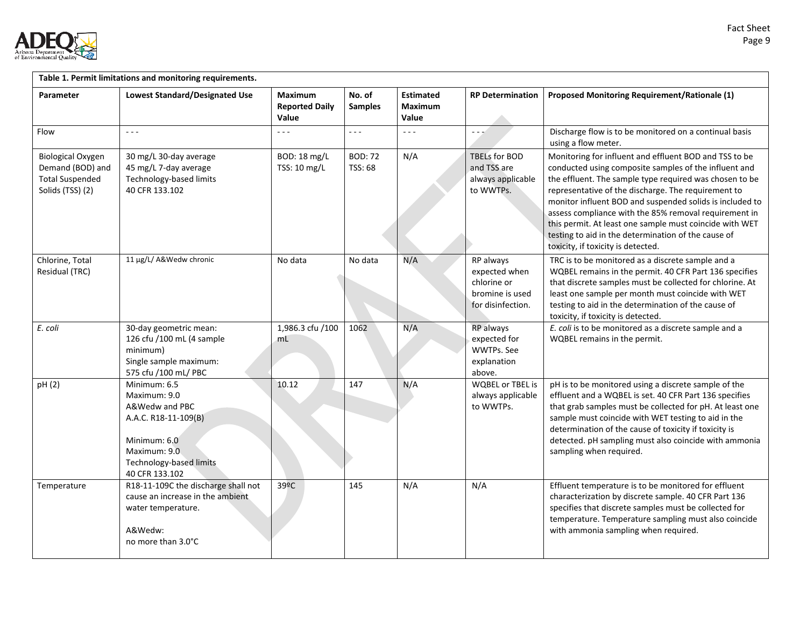

| Table 1. Permit limitations and monitoring requirements.                                   |                                                                                                                                                     |                                                  |                           |                                             |                                                                                   |                                                                                                                                                                                                                                                                                                                                                                                                                                                                                                                |  |
|--------------------------------------------------------------------------------------------|-----------------------------------------------------------------------------------------------------------------------------------------------------|--------------------------------------------------|---------------------------|---------------------------------------------|-----------------------------------------------------------------------------------|----------------------------------------------------------------------------------------------------------------------------------------------------------------------------------------------------------------------------------------------------------------------------------------------------------------------------------------------------------------------------------------------------------------------------------------------------------------------------------------------------------------|--|
| Parameter                                                                                  | <b>Lowest Standard/Designated Use</b>                                                                                                               | <b>Maximum</b><br><b>Reported Daily</b><br>Value | No. of<br><b>Samples</b>  | <b>Estimated</b><br><b>Maximum</b><br>Value | <b>RP Determination</b>                                                           | <b>Proposed Monitoring Requirement/Rationale (1)</b>                                                                                                                                                                                                                                                                                                                                                                                                                                                           |  |
| Flow                                                                                       | $\omega = \omega$                                                                                                                                   | $- - -$                                          | $\sim$ $\sim$ $\sim$      | $\sim$ $\sim$ $\sim$                        | $- - -$                                                                           | Discharge flow is to be monitored on a continual basis<br>using a flow meter.                                                                                                                                                                                                                                                                                                                                                                                                                                  |  |
| <b>Biological Oxygen</b><br>Demand (BOD) and<br><b>Total Suspended</b><br>Solids (TSS) (2) | 30 mg/L 30-day average<br>45 mg/L 7-day average<br>Technology-based limits<br>40 CFR 133.102                                                        | BOD: 18 mg/L<br>TSS: 10 mg/L                     | <b>BOD: 72</b><br>TSS: 68 | N/A                                         | TBELs for BOD<br>and TSS are<br>always applicable<br>to WWTPs.                    | Monitoring for influent and effluent BOD and TSS to be<br>conducted using composite samples of the influent and<br>the effluent. The sample type required was chosen to be<br>representative of the discharge. The requirement to<br>monitor influent BOD and suspended solids is included to<br>assess compliance with the 85% removal requirement in<br>this permit. At least one sample must coincide with WET<br>testing to aid in the determination of the cause of<br>toxicity, if toxicity is detected. |  |
| Chlorine, Total<br>Residual (TRC)                                                          | 11 µg/L/ A&Wedw chronic                                                                                                                             | No data                                          | No data                   | N/A                                         | RP always<br>expected when<br>chlorine or<br>bromine is used<br>for disinfection. | TRC is to be monitored as a discrete sample and a<br>WQBEL remains in the permit. 40 CFR Part 136 specifies<br>that discrete samples must be collected for chlorine. At<br>least one sample per month must coincide with WET<br>testing to aid in the determination of the cause of<br>toxicity, if toxicity is detected.                                                                                                                                                                                      |  |
| E. coli                                                                                    | 30-day geometric mean:<br>126 cfu /100 mL (4 sample<br>minimum)<br>Single sample maximum:<br>575 cfu /100 mL/ PBC                                   | 1,986.3 cfu /100<br>mL                           | 1062                      | N/A                                         | RP always<br>expected for<br>WWTPs. See<br>explanation<br>above.                  | E. coli is to be monitored as a discrete sample and a<br>WQBEL remains in the permit.                                                                                                                                                                                                                                                                                                                                                                                                                          |  |
| pH (2)                                                                                     | Minimum: 6.5<br>Maximum: 9.0<br>A&Wedw and PBC<br>A.A.C. R18-11-109(B)<br>Minimum: 6.0<br>Maximum: 9.0<br>Technology-based limits<br>40 CFR 133.102 | 10.12                                            | 147                       | N/A                                         | <b>WQBEL or TBEL is</b><br>always applicable<br>to WWTPs.                         | pH is to be monitored using a discrete sample of the<br>effluent and a WQBEL is set. 40 CFR Part 136 specifies<br>that grab samples must be collected for pH. At least one<br>sample must coincide with WET testing to aid in the<br>determination of the cause of toxicity if toxicity is<br>detected. pH sampling must also coincide with ammonia<br>sampling when required.                                                                                                                                 |  |
| Temperature                                                                                | R18-11-109C the discharge shall not<br>cause an increase in the ambient<br>water temperature.<br>A&Wedw:<br>no more than 3.0°C                      | 39 <sup>o</sup> C                                | 145                       | N/A                                         | N/A                                                                               | Effluent temperature is to be monitored for effluent<br>characterization by discrete sample. 40 CFR Part 136<br>specifies that discrete samples must be collected for<br>temperature. Temperature sampling must also coincide<br>with ammonia sampling when required.                                                                                                                                                                                                                                          |  |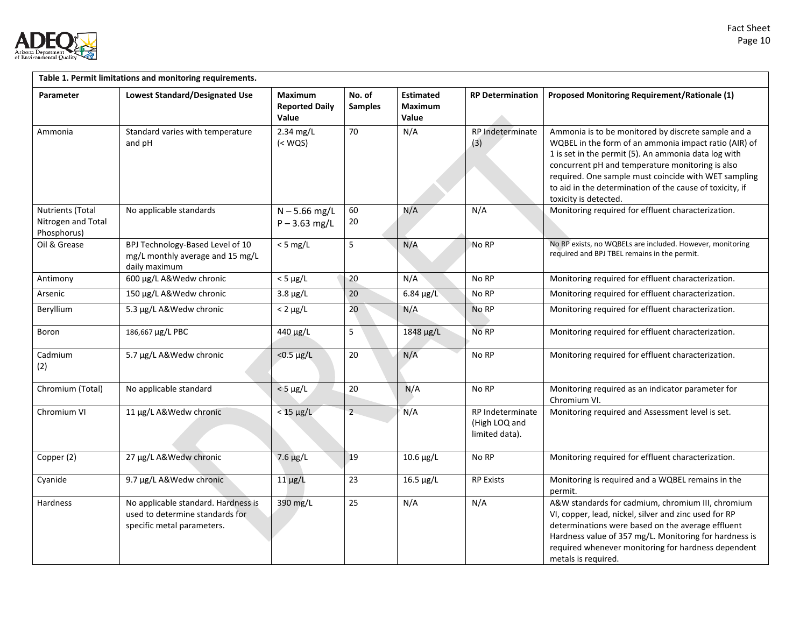

| Table 1. Permit limitations and monitoring requirements. |                                                                                                      |                                                  |                          |                                             |                                                     |                                                                                                                                                                                                                                                                                                                                                                       |  |
|----------------------------------------------------------|------------------------------------------------------------------------------------------------------|--------------------------------------------------|--------------------------|---------------------------------------------|-----------------------------------------------------|-----------------------------------------------------------------------------------------------------------------------------------------------------------------------------------------------------------------------------------------------------------------------------------------------------------------------------------------------------------------------|--|
| Parameter                                                | <b>Lowest Standard/Designated Use</b>                                                                | <b>Maximum</b><br><b>Reported Daily</b><br>Value | No. of<br><b>Samples</b> | <b>Estimated</b><br><b>Maximum</b><br>Value | <b>RP Determination</b>                             | <b>Proposed Monitoring Requirement/Rationale (1)</b>                                                                                                                                                                                                                                                                                                                  |  |
| Ammonia                                                  | Standard varies with temperature<br>and pH                                                           | 2.34 mg/L<br>$(<$ WQS $)$                        | 70                       | N/A                                         | RP Indeterminate<br>(3)                             | Ammonia is to be monitored by discrete sample and a<br>WQBEL in the form of an ammonia impact ratio (AIR) of<br>1 is set in the permit (5). An ammonia data log with<br>concurrent pH and temperature monitoring is also<br>required. One sample must coincide with WET sampling<br>to aid in the determination of the cause of toxicity, if<br>toxicity is detected. |  |
| Nutrients (Total<br>Nitrogen and Total<br>Phosphorus)    | No applicable standards                                                                              | $N - 5.66$ mg/L<br>$P - 3.63$ mg/L               | 60<br>20                 | N/A                                         | N/A                                                 | Monitoring required for effluent characterization.                                                                                                                                                                                                                                                                                                                    |  |
| Oil & Grease                                             | BPJ Technology-Based Level of 10<br>mg/L monthly average and 15 mg/L<br>daily maximum                | $<$ 5 mg/L                                       | 5                        | N/A                                         | No RP                                               | No RP exists, no WQBELs are included. However, monitoring<br>required and BPJ TBEL remains in the permit.                                                                                                                                                                                                                                                             |  |
| Antimony                                                 | 600 μg/L A&Wedw chronic                                                                              | $<$ 5 $\mu$ g/L                                  | 20                       | N/A                                         | No RP                                               | Monitoring required for effluent characterization.                                                                                                                                                                                                                                                                                                                    |  |
| Arsenic                                                  | 150 μg/L A&Wedw chronic                                                                              | $3.8 \mu g/L$                                    | 20                       | $6.84 \mu g/L$                              | No RP                                               | Monitoring required for effluent characterization.                                                                                                                                                                                                                                                                                                                    |  |
| Beryllium                                                | 5.3 µg/L A&Wedw chronic                                                                              | $< 2 \mu g/L$                                    | 20                       | N/A                                         | No RP                                               | Monitoring required for effluent characterization.                                                                                                                                                                                                                                                                                                                    |  |
| Boron                                                    | 186,667 µg/L PBC                                                                                     | 440 μg/L                                         | 5                        | 1848 µg/L                                   | No RP                                               | Monitoring required for effluent characterization.                                                                                                                                                                                                                                                                                                                    |  |
| Cadmium<br>(2)                                           | 5.7 µg/L A&Wedw chronic                                                                              | $< 0.5 \mu g/L$                                  | 20                       | N/A                                         | No RP                                               | Monitoring required for effluent characterization.                                                                                                                                                                                                                                                                                                                    |  |
| Chromium (Total)                                         | No applicable standard                                                                               | $<$ 5 $\mu$ g/L                                  | 20                       | N/A                                         | No RP                                               | Monitoring required as an indicator parameter for<br>Chromium VI.                                                                                                                                                                                                                                                                                                     |  |
| Chromium VI                                              | 11 µg/L A&Wedw chronic                                                                               | $<$ 15 $\mu$ g/L                                 | $\overline{2}$           | N/A                                         | RP Indeterminate<br>(High LOQ and<br>limited data). | Monitoring required and Assessment level is set.                                                                                                                                                                                                                                                                                                                      |  |
| Copper (2)                                               | 27 µg/L A&Wedw chronic                                                                               | $7.6 \mu g/L$                                    | 19                       | $10.6 \mu g/L$                              | No RP                                               | Monitoring required for effluent characterization.                                                                                                                                                                                                                                                                                                                    |  |
| Cyanide                                                  | 9.7 µg/L A&Wedw chronic                                                                              | $11 \mu g/L$                                     | 23                       | $16.5 \mu g/L$                              | <b>RP Exists</b>                                    | Monitoring is required and a WQBEL remains in the<br>permit.                                                                                                                                                                                                                                                                                                          |  |
| Hardness                                                 | No applicable standard. Hardness is<br>used to determine standards for<br>specific metal parameters. | 390 mg/L                                         | 25                       | N/A                                         | N/A                                                 | A&W standards for cadmium, chromium III, chromium<br>VI, copper, lead, nickel, silver and zinc used for RP<br>determinations were based on the average effluent<br>Hardness value of 357 mg/L. Monitoring for hardness is<br>required whenever monitoring for hardness dependent<br>metals is required.                                                               |  |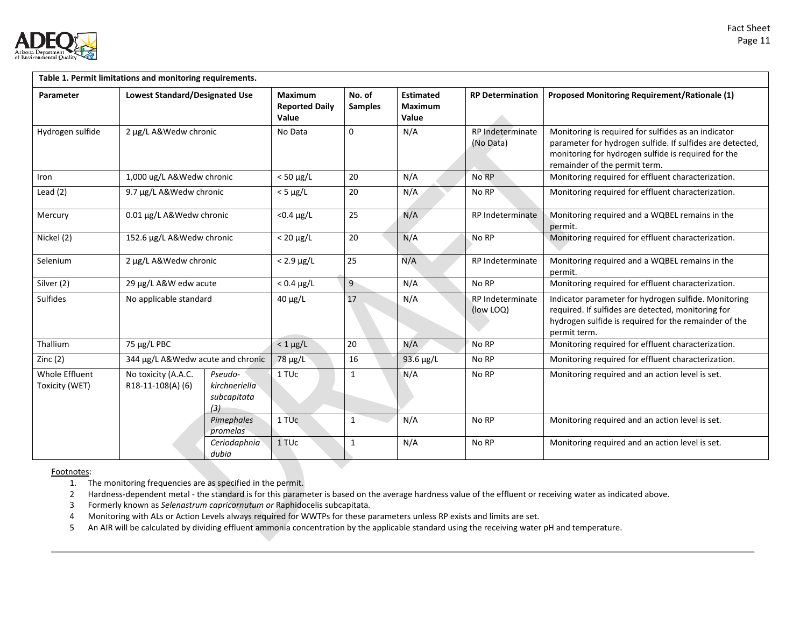

| Table 1. Permit limitations and monitoring requirements. |                                         |                                                |                                                  |                          |                                             |                               |                                                                                                                                                                                                          |
|----------------------------------------------------------|-----------------------------------------|------------------------------------------------|--------------------------------------------------|--------------------------|---------------------------------------------|-------------------------------|----------------------------------------------------------------------------------------------------------------------------------------------------------------------------------------------------------|
| Parameter                                                | <b>Lowest Standard/Designated Use</b>   |                                                | <b>Maximum</b><br><b>Reported Daily</b><br>Value | No. of<br><b>Samples</b> | <b>Estimated</b><br><b>Maximum</b><br>Value | <b>RP Determination</b>       | <b>Proposed Monitoring Requirement/Rationale (1)</b>                                                                                                                                                     |
| Hydrogen sulfide                                         | 2 µg/L A&Wedw chronic                   |                                                | No Data                                          | $\Omega$                 | N/A                                         | RP Indeterminate<br>(No Data) | Monitoring is required for sulfides as an indicator<br>parameter for hydrogen sulfide. If sulfides are detected,<br>monitoring for hydrogen sulfide is required for the<br>remainder of the permit term. |
| Iron                                                     | 1,000 ug/L A&Wedw chronic               |                                                | $< 50 \mu g/L$                                   | 20                       | N/A                                         | No RP                         | Monitoring required for effluent characterization.                                                                                                                                                       |
| Lead $(2)$                                               | 9.7 µg/L A&Wedw chronic                 |                                                | $<$ 5 $\mu$ g/L                                  | 20                       | N/A                                         | No RP                         | Monitoring required for effluent characterization.                                                                                                                                                       |
| Mercury                                                  | 0.01 µg/L A&Wedw chronic                |                                                | $<$ 0.4 $\mu$ g/L                                | 25                       | N/A                                         | RP Indeterminate              | Monitoring required and a WQBEL remains in the<br>permit.                                                                                                                                                |
| Nickel (2)                                               | 152.6 µg/L A&Wedw chronic               |                                                | $< 20 \mu g/L$                                   | 20                       | N/A                                         | No RP                         | Monitoring required for effluent characterization.                                                                                                                                                       |
| Selenium                                                 | 2 µg/L A&Wedw chronic                   |                                                | $< 2.9 \mu g/L$                                  | 25                       | N/A                                         | RP Indeterminate              | Monitoring required and a WQBEL remains in the<br>permit.                                                                                                                                                |
| Silver (2)                                               | 29 µg/L A&W edw acute                   |                                                | $< 0.4 \mu g/L$                                  | 9                        | N/A                                         | No RP                         | Monitoring required for effluent characterization.                                                                                                                                                       |
| Sulfides                                                 | No applicable standard                  |                                                | $40 \mu g/L$                                     | 17                       | N/A                                         | RP Indeterminate<br>(low LOQ) | Indicator parameter for hydrogen sulfide. Monitoring<br>required. If sulfides are detected, monitoring for<br>hydrogen sulfide is required for the remainder of the<br>permit term.                      |
| Thallium                                                 | 75 µg/L PBC                             |                                                | $< 1 \mu g/L$                                    | 20                       | N/A                                         | No RP                         | Monitoring required for effluent characterization.                                                                                                                                                       |
| Zinc $(2)$                                               | 344 µg/L A&Wedw acute and chronic       |                                                | $78 \mu g/L$                                     | 16                       | 93.6 $\mu$ g/L                              | No RP                         | Monitoring required for effluent characterization.                                                                                                                                                       |
| <b>Whole Effluent</b><br>Toxicity (WET)                  | No toxicity (A.A.C.<br>R18-11-108(A)(6) | Pseudo-<br>kirchneriella<br>subcapitata<br>(3) | 1 TU <sub>c</sub>                                | $\mathbf{1}$             | N/A                                         | No RP                         | Monitoring required and an action level is set.                                                                                                                                                          |
|                                                          |                                         | Pimephales<br>promelas                         | 1 TU <sub>c</sub>                                | $\mathbf{1}$             | N/A                                         | No RP                         | Monitoring required and an action level is set.                                                                                                                                                          |
|                                                          |                                         | Ceriodaphnia<br>dubia                          | 1 TUc                                            | $\mathbf{1}$             | N/A                                         | No RP                         | Monitoring required and an action level is set.                                                                                                                                                          |

Footnotes:

1. The monitoring frequencies are as specified in the permit.

2 Hardness-dependent metal - the standard is for this parameter is based on the average hardness value of the effluent or receiving water as indicated above.

3 Formerly known as *Selenastrum capricornutum or* Raphidocelis subcapitata*.*

4 Monitoring with ALs or Action Levels always required for WWTPs for these parameters unless RP exists and limits are set.

5 An AIR will be calculated by dividing effluent ammonia concentration by the applicable standard using the receiving water pH and temperature.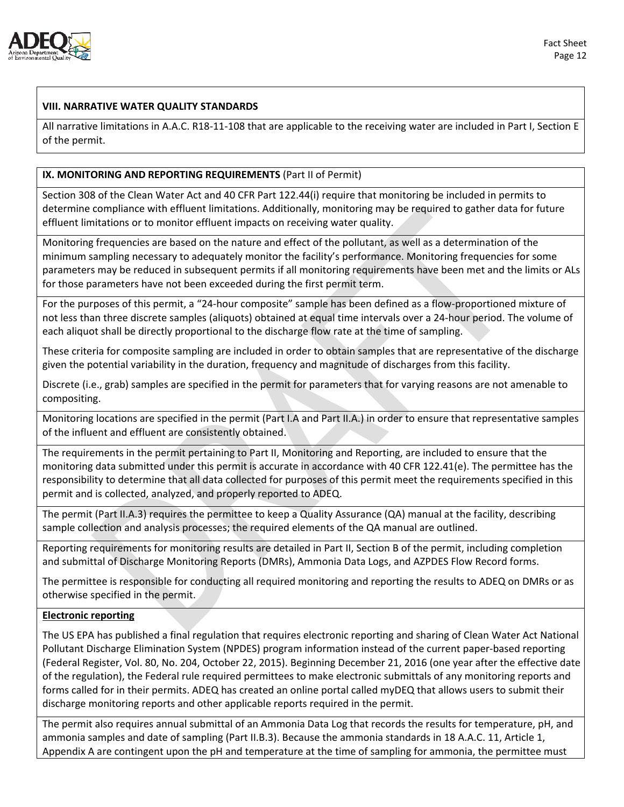

## **VIII. NARRATIVE WATER QUALITY STANDARDS**

All narrative limitations in A.A.C. R18-11-108 that are applicable to the receiving water are included in Part I, Section E of the permit.

#### **IX. MONITORING AND REPORTING REQUIREMENTS** (Part II of Permit)

Section 308 of the Clean Water Act and 40 CFR Part 122.44(i) require that monitoring be included in permits to determine compliance with effluent limitations. Additionally, monitoring may be required to gather data for future effluent limitations or to monitor effluent impacts on receiving water quality.

Monitoring frequencies are based on the nature and effect of the pollutant, as well as a determination of the minimum sampling necessary to adequately monitor the facility's performance. Monitoring frequencies for some parameters may be reduced in subsequent permits if all monitoring requirements have been met and the limits or ALs for those parameters have not been exceeded during the first permit term.

For the purposes of this permit, a "24-hour composite" sample has been defined as a flow-proportioned mixture of not less than three discrete samples (aliquots) obtained at equal time intervals over a 24-hour period. The volume of each aliquot shall be directly proportional to the discharge flow rate at the time of sampling.

These criteria for composite sampling are included in order to obtain samples that are representative of the discharge given the potential variability in the duration, frequency and magnitude of discharges from this facility.

Discrete (i.e., grab) samples are specified in the permit for parameters that for varying reasons are not amenable to compositing.

Monitoring locations are specified in the permit (Part I.A and Part II.A.) in order to ensure that representative samples of the influent and effluent are consistently obtained.

The requirements in the permit pertaining to Part II, Monitoring and Reporting, are included to ensure that the monitoring data submitted under this permit is accurate in accordance with 40 CFR 122.41(e). The permittee has the responsibility to determine that all data collected for purposes of this permit meet the requirements specified in this permit and is collected, analyzed, and properly reported to ADEQ.

The permit (Part II.A.3) requires the permittee to keep a Quality Assurance (QA) manual at the facility, describing sample collection and analysis processes; the required elements of the QA manual are outlined.

Reporting requirements for monitoring results are detailed in Part II, Section B of the permit, including completion and submittal of Discharge Monitoring Reports (DMRs), Ammonia Data Logs, and AZPDES Flow Record forms.

The permittee is responsible for conducting all required monitoring and reporting the results to ADEQ on DMRs or as otherwise specified in the permit.

#### **Electronic reporting**

The US EPA has published a final regulation that requires electronic reporting and sharing of Clean Water Act National Pollutant Discharge Elimination System (NPDES) program information instead of the current paper-based reporting (Federal Register, Vol. 80, No. 204, October 22, 2015). Beginning December 21, 2016 (one year after the effective date of the regulation), the Federal rule required permittees to make electronic submittals of any monitoring reports and forms called for in their permits. ADEQ has created an online portal called myDEQ that allows users to submit their discharge monitoring reports and other applicable reports required in the permit.

The permit also requires annual submittal of an Ammonia Data Log that records the results for temperature, pH, and ammonia samples and date of sampling (Part II.B.3). Because the ammonia standards in 18 A.A.C. 11, Article 1, Appendix A are contingent upon the pH and temperature at the time of sampling for ammonia, the permittee must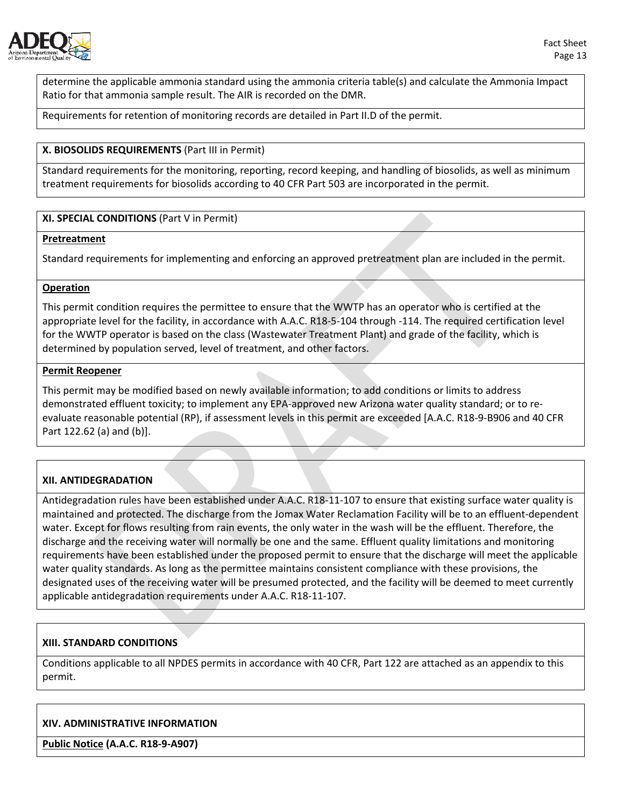

determine the applicable ammonia standard using the ammonia criteria table(s) and calculate the Ammonia Impact Ratio for that ammonia sample result. The AIR is recorded on the DMR.

Requirements for retention of monitoring records are detailed in Part II.D of the permit.

#### **X. BIOSOLIDS REQUIREMENTS** (Part III in Permit)

Standard requirements for the monitoring, reporting, record keeping, and handling of biosolids, as well as minimum treatment requirements for biosolids according to 40 CFR Part 503 are incorporated in the permit.

#### **XI. SPECIAL CONDITIONS** (Part V in Permit)

#### **Pretreatment**

Standard requirements for implementing and enforcing an approved pretreatment plan are included in the permit.

#### **Operation**

This permit condition requires the permittee to ensure that the WWTP has an operator who is certified at the appropriate level for the facility, in accordance with A.A.C. R18-5-104 through -114. The required certification level for the WWTP operator is based on the class (Wastewater Treatment Plant) and grade of the facility, which is determined by population served, level of treatment, and other factors.

#### **Permit Reopener**

This permit may be modified based on newly available information; to add conditions or limits to address demonstrated effluent toxicity; to implement any EPA-approved new Arizona water quality standard; or to reevaluate reasonable potential (RP), if assessment levels in this permit are exceeded [A.A.C. R18-9-B906 and 40 CFR Part 122.62 (a) and (b)].

#### **XII. ANTIDEGRADATION**

Antidegradation rules have been established under A.A.C. R18-11-107 to ensure that existing surface water quality is maintained and protected. The discharge from the Jomax Water Reclamation Facility will be to an effluent-dependent water. Except for flows resulting from rain events, the only water in the wash will be the effluent. Therefore, the discharge and the receiving water will normally be one and the same. Effluent quality limitations and monitoring requirements have been established under the proposed permit to ensure that the discharge will meet the applicable water quality standards. As long as the permittee maintains consistent compliance with these provisions, the designated uses of the receiving water will be presumed protected, and the facility will be deemed to meet currently applicable antidegradation requirements under A.A.C. R18-11-107.

#### **XIII. STANDARD CONDITIONS**

Conditions applicable to all NPDES permits in accordance with 40 CFR, Part 122 are attached as an appendix to this permit.

#### **XIV. ADMINISTRATIVE INFORMATION**

**Public Notice (A.A.C. R18-9-A907)**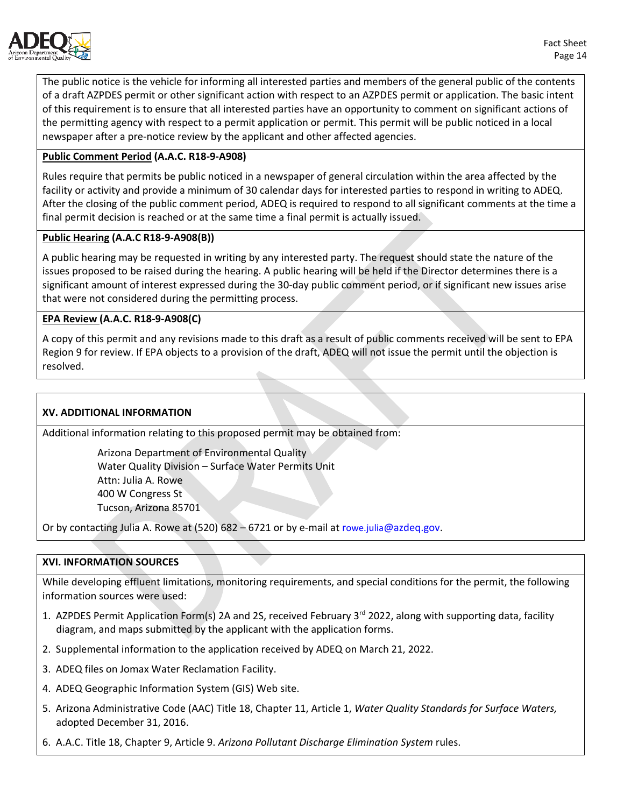

The public notice is the vehicle for informing all interested parties and members of the general public of the contents of a draft AZPDES permit or other significant action with respect to an AZPDES permit or application. The basic intent of this requirement is to ensure that all interested parties have an opportunity to comment on significant actions of the permitting agency with respect to a permit application or permit. This permit will be public noticed in a local newspaper after a pre-notice review by the applicant and other affected agencies.

## **Public Comment Period (A.A.C. R18-9-A908)**

Rules require that permits be public noticed in a newspaper of general circulation within the area affected by the facility or activity and provide a minimum of 30 calendar days for interested parties to respond in writing to ADEQ. After the closing of the public comment period, ADEQ is required to respond to all significant comments at the time a final permit decision is reached or at the same time a final permit is actually issued.

#### **Public Hearing (A.A.C R18-9-A908(B))**

A public hearing may be requested in writing by any interested party. The request should state the nature of the issues proposed to be raised during the hearing. A public hearing will be held if the Director determines there is a significant amount of interest expressed during the 30-day public comment period, or if significant new issues arise that were not considered during the permitting process.

## **EPA Review (A.A.C. R18-9-A908(C)**

A copy of this permit and any revisions made to this draft as a result of public comments received will be sent to EPA Region 9 for review. If EPA objects to a provision of the draft, ADEQ will not issue the permit until the objection is resolved.

#### **XV. ADDITIONAL INFORMATION**

Additional information relating to this proposed permit may be obtained from:

Arizona Department of Environmental Quality Water Quality Division – Surface Water Permits Unit Attn: Julia A. Rowe 400 W Congress St Tucson, Arizona 85701

Or by contacting Julia A. Rowe at  $(520)$  682 – 6721 or by e-mail at [rowe.julia@azdeq.gov.](mailto:rowe.julia@azdeq.gov)

#### **XVI. INFORMATION SOURCES**

While developing effluent limitations, monitoring requirements, and special conditions for the permit, the following information sources were used:

- 1. AZPDES Permit Application Form(s) 2A and 2S, received February  $3^{rd}$  2022, along with supporting data, facility diagram, and maps submitted by the applicant with the application forms.
- 2. Supplemental information to the application received by ADEQ on March 21, 2022.
- 3. ADEQ files on Jomax Water Reclamation Facility.
- 4. ADEQ Geographic Information System (GIS) Web site.
- 5. Arizona Administrative Code (AAC) Title 18, Chapter 11, Article 1, *Water Quality Standards for Surface Waters,* adopted December 31, 2016.
- 6. A.A.C. Title 18, Chapter 9, Article 9. *Arizona Pollutant Discharge Elimination System* rules.